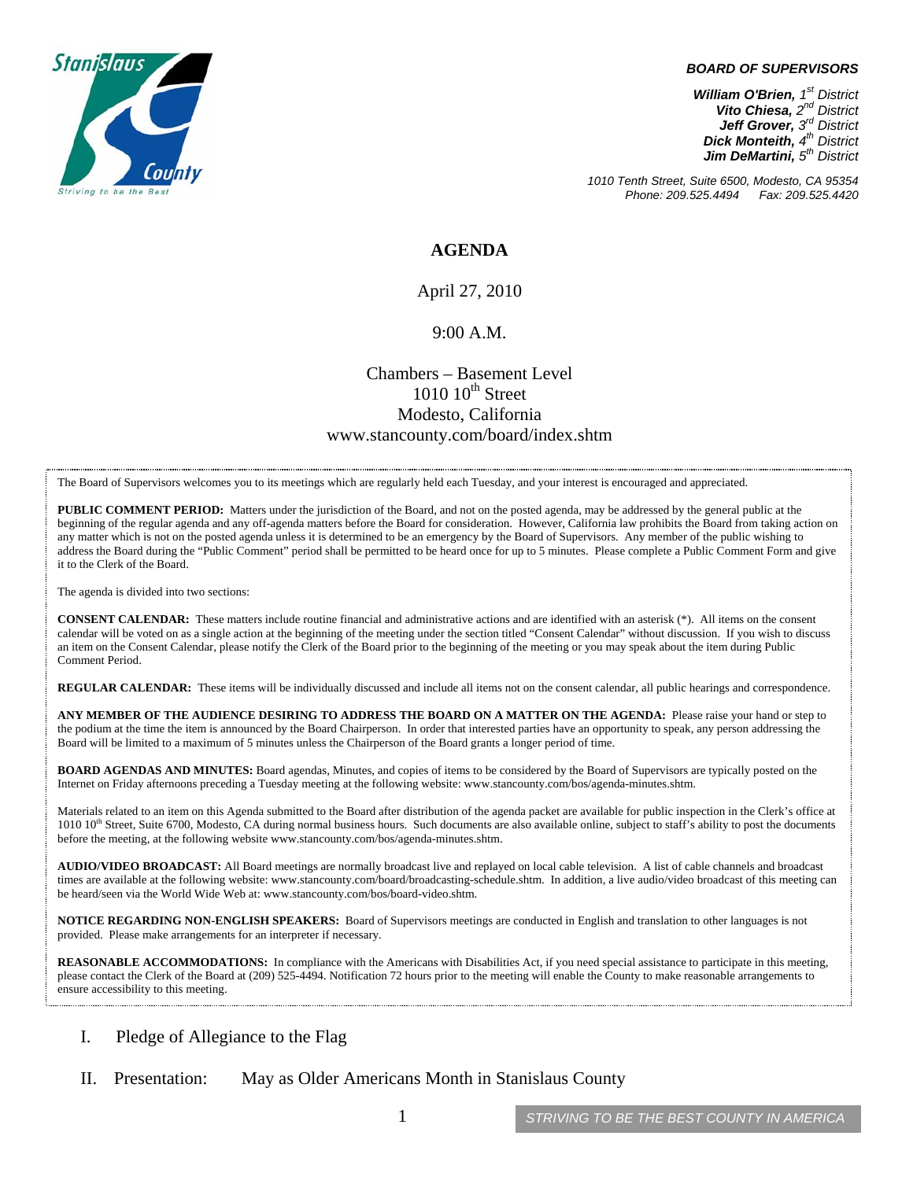

#### *BOARD OF SUPERVISORS*

*William O'Brien, 1st District Vito Chiesa, 2nd District Jeff Grover, 3rd District Dick Monteith, 4th District Jim DeMartini, 5th District*

*1010 Tenth Street, Suite 6500, Modesto, CA 95354 Phone: 209.525.4494* 

### **AGENDA**

April 27, 2010

#### 9:00 A.M.

## Chambers – Basement Level  $1010$   $10^{th}$  Street Modesto, California www.stancounty.com/board/index.shtm

The Board of Supervisors welcomes you to its meetings which are regularly held each Tuesday, and your interest is encouraged and appreciated.

**PUBLIC COMMENT PERIOD:** Matters under the jurisdiction of the Board, and not on the posted agenda, may be addressed by the general public at the beginning of the regular agenda and any off-agenda matters before the Board for consideration. However, California law prohibits the Board from taking action on any matter which is not on the posted agenda unless it is determined to be an emergency by the Board of Supervisors. Any member of the public wishing to address the Board during the "Public Comment" period shall be permitted to be heard once for up to 5 minutes. Please complete a Public Comment Form and give it to the Clerk of the Board.

The agenda is divided into two sections:

**CONSENT CALENDAR:** These matters include routine financial and administrative actions and are identified with an asterisk (\*). All items on the consent calendar will be voted on as a single action at the beginning of the meeting under the section titled "Consent Calendar" without discussion. If you wish to discuss an item on the Consent Calendar, please notify the Clerk of the Board prior to the beginning of the meeting or you may speak about the item during Public Comment Period.

**REGULAR CALENDAR:** These items will be individually discussed and include all items not on the consent calendar, all public hearings and correspondence.

**ANY MEMBER OF THE AUDIENCE DESIRING TO ADDRESS THE BOARD ON A MATTER ON THE AGENDA:** Please raise your hand or step to the podium at the time the item is announced by the Board Chairperson. In order that interested parties have an opportunity to speak, any person addressing the Board will be limited to a maximum of 5 minutes unless the Chairperson of the Board grants a longer period of time.

**BOARD AGENDAS AND MINUTES:** Board agendas, Minutes, and copies of items to be considered by the Board of Supervisors are typically posted on the Internet on Friday afternoons preceding a Tuesday meeting at the following website: www.stancounty.com/bos/agenda-minutes.shtm.

Materials related to an item on this Agenda submitted to the Board after distribution of the agenda packet are available for public inspection in the Clerk's office at 1010 10<sup>th</sup> Street, Suite 6700, Modesto, CA during normal business hours. Such documents are also available online, subject to staff's ability to post the documents before the meeting, at the following website www.stancounty.com/bos/agenda-minutes.shtm.

**AUDIO/VIDEO BROADCAST:** All Board meetings are normally broadcast live and replayed on local cable television. A list of cable channels and broadcast times are available at the following website: www.stancounty.com/board/broadcasting-schedule.shtm. In addition, a live audio/video broadcast of this meeting can be heard/seen via the World Wide Web at: www.stancounty.com/bos/board-video.shtm.

**NOTICE REGARDING NON-ENGLISH SPEAKERS:** Board of Supervisors meetings are conducted in English and translation to other languages is not provided. Please make arrangements for an interpreter if necessary.

**REASONABLE ACCOMMODATIONS:** In compliance with the Americans with Disabilities Act, if you need special assistance to participate in this meeting, please contact the Clerk of the Board at (209) 525-4494. Notification 72 hours prior to the meeting will enable the County to make reasonable arrangements to ensure accessibility to this meeting.

- I. Pledge of Allegiance to the Flag
- II. Presentation: May as Older Americans Month in Stanislaus County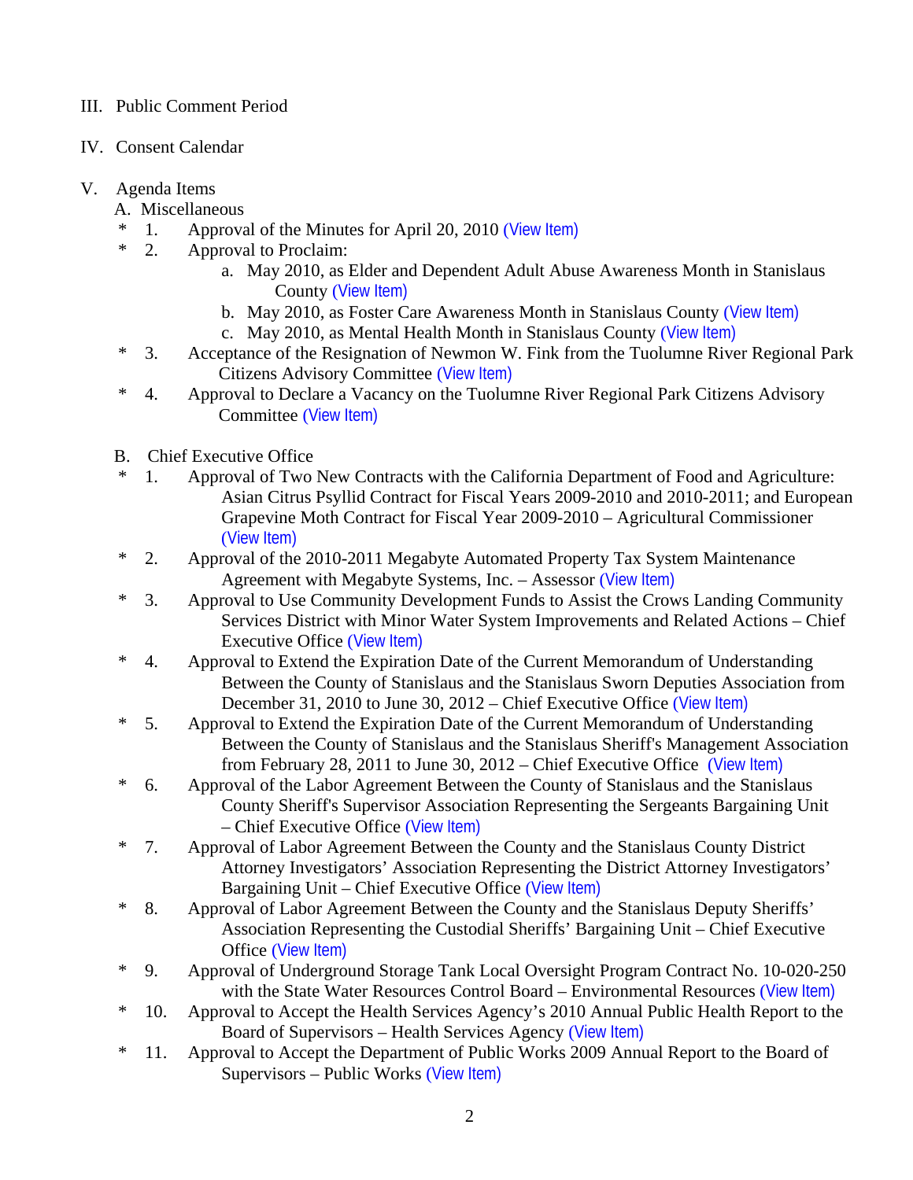# III. Public Comment Period

- IV. Consent Calendar
- V. Agenda Items
	- A. Miscellaneous
	- \* 1. Approval of the Minutes for April 20, 2010 ([View Item\)](http://www.stancounty.com/bos/minutes/2010/min04-20-10.pdf)
	- \* 2. Approval to Proclaim:
		- a. May 2010, as Elder and Dependent Adult Abuse Awareness Month in Stanislaus County ([View Item\)](http://www.stancounty.com/bos/agenda/2010/20100427/A02a.pdf)
		- b. May 2010, as Foster Care Awareness Month in Stanislaus County ([View Item\)](http://www.stancounty.com/bos/agenda/2010/20100427/A02b.pdf)
		- c. May 2010, as Mental Health Month in Stanislaus County ([View Item\)](http://www.stancounty.com/bos/agenda/2010/20100427/A02c.pdf)
	- \* 3. Acceptance of the Resignation of Newmon W. Fink from the Tuolumne River Regional Park Citizens Advisory Committee ([View Item\)](http://www.stancounty.com/bos/agenda/2010/20100427/A03.pdf)
	- \* 4. Approval to Declare a Vacancy on the Tuolumne River Regional Park Citizens Advisory Committee ([View Item\)](http://www.stancounty.com/bos/agenda/2010/20100427/A04.pdf)
	- B. Chief Executive Office
	- \* 1. Approval of Two New Contracts with the California Department of Food and Agriculture: Asian Citrus Psyllid Contract for Fiscal Years 2009-2010 and 2010-2011; and European Grapevine Moth Contract for Fiscal Year 2009-2010 – Agricultural Commissioner ([View Item\)](http://www.stancounty.com/bos/agenda/2010/20100427/B01.pdf)
	- \* 2. Approval of the 2010-2011 Megabyte Automated Property Tax System Maintenance Agreement with Megabyte Systems, Inc. – Assessor ([View Item\)](http://www.stancounty.com/bos/agenda/2010/20100427/B02.pdf)
	- \* 3. Approval to Use Community Development Funds to Assist the Crows Landing Community Services District with Minor Water System Improvements and Related Actions – Chief Executive Office ([View Item\)](http://www.stancounty.com/bos/agenda/2010/20100427/B03.pdf)
	- \* 4. Approval to Extend the Expiration Date of the Current Memorandum of Understanding Between the County of Stanislaus and the Stanislaus Sworn Deputies Association from December 31, 2010 to June 30, 2012 – Chief Executive Office ([View Item\)](http://www.stancounty.com/bos/agenda/2010/20100427/B04.pdf)
	- \* 5. Approval to Extend the Expiration Date of the Current Memorandum of Understanding Between the County of Stanislaus and the Stanislaus Sheriff's Management Association from February 28, 2011 to June 30, 2012 – Chief Executive Office ([View Item\)](http://www.stancounty.com/bos/agenda/2010/20100427/B05.pdf)
	- \* 6. Approval of the Labor Agreement Between the County of Stanislaus and the Stanislaus County Sheriff's Supervisor Association Representing the Sergeants Bargaining Unit – Chief Executive Office ([View Item\)](http://www.stancounty.com/bos/agenda/2010/20100427/B06.pdf)
	- \* 7. Approval of Labor Agreement Between the County and the Stanislaus County District Attorney Investigators' Association Representing the District Attorney Investigators' Bargaining Unit – Chief Executive Office ([View Item\)](http://www.stancounty.com/bos/agenda/2010/20100427/B07.pdf)
	- \* 8. Approval of Labor Agreement Between the County and the Stanislaus Deputy Sheriffs' Association Representing the Custodial Sheriffs' Bargaining Unit – Chief Executive Office ([View Item\)](http://www.stancounty.com/bos/agenda/2010/20100427/B08.pdf)
	- \* 9. Approval of Underground Storage Tank Local Oversight Program Contract No. 10-020-250 with the State Water Resources Control Board – Environmental Resources ([View Item\)](http://www.stancounty.com/bos/agenda/2010/20100427/B09.pdf)
	- \* 10. Approval to Accept the Health Services Agency's 2010 Annual Public Health Report to the Board of Supervisors – Health Services Agency ([View Item\)](http://www.stancounty.com/bos/agenda/2010/20100427/B10.pdf)
	- \* 11. Approval to Accept the Department of Public Works 2009 Annual Report to the Board of Supervisors – Public Works ([View Item\)](http://www.stancounty.com/bos/agenda/2010/20100427/B11.pdf)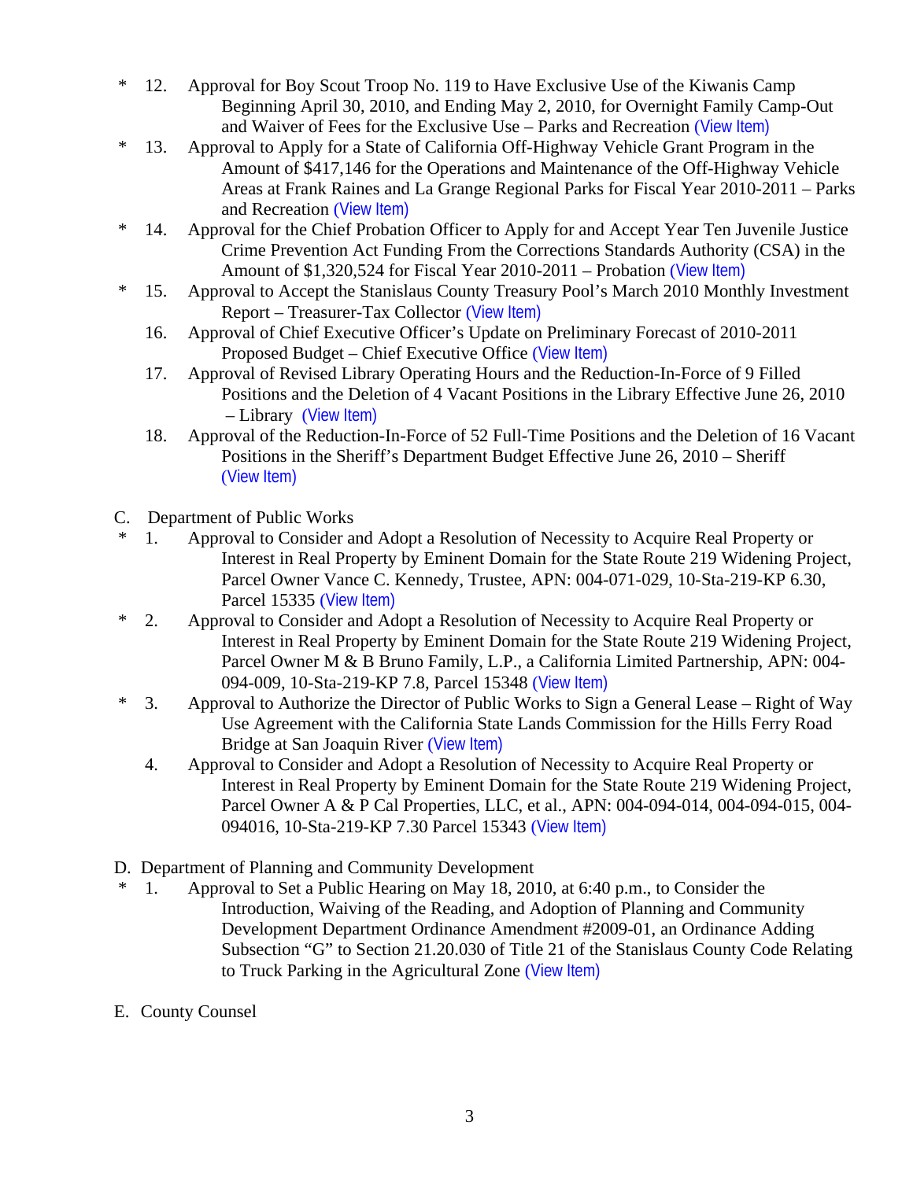- \* 12. Approval for Boy Scout Troop No. 119 to Have Exclusive Use of the Kiwanis Camp Beginning April 30, 2010, and Ending May 2, 2010, for Overnight Family Camp-Out and Waiver of Fees for the Exclusive Use – Parks and Recreation ([View Item\)](http://www.stancounty.com/bos/agenda/2010/20100427/B12.pdf)
- \* 13. Approval to Apply for a State of California Off-Highway Vehicle Grant Program in the Amount of \$417,146 for the Operations and Maintenance of the Off-Highway Vehicle Areas at Frank Raines and La Grange Regional Parks for Fiscal Year 2010-2011 – Parks and Recreation ([View Item\)](http://www.stancounty.com/bos/agenda/2010/20100427/B13.pdf)
- \* 14. Approval for the Chief Probation Officer to Apply for and Accept Year Ten Juvenile Justice Crime Prevention Act Funding From the Corrections Standards Authority (CSA) in the Amount of \$1,320,524 for Fiscal Year 2010-2011 – Probation ([View Item\)](http://www.stancounty.com/bos/agenda/2010/20100427/B14.pdf)
- \* 15. Approval to Accept the Stanislaus County Treasury Pool's March 2010 Monthly Investment Report – Treasurer-Tax Collector ([View Item\)](http://www.stancounty.com/bos/agenda/2010/20100427/B15.pdf)
	- 16. Approval of Chief Executive Officer's Update on Preliminary Forecast of 2010-2011 Proposed Budget – Chief Executive Office ([View Item\)](http://www.stancounty.com/bos/agenda/2010/20100427/B16.pdf)
	- 17. Approval of Revised Library Operating Hours and the Reduction-In-Force of 9 Filled Positions and the Deletion of 4 Vacant Positions in the Library Effective June 26, 2010 – Library ([View Item\)](http://www.stancounty.com/bos/agenda/2010/20100427/B17.pdf)
	- 18. Approval of the Reduction-In-Force of 52 Full-Time Positions and the Deletion of 16 Vacant Positions in the Sheriff's Department Budget Effective June 26, 2010 – Sheriff ([View Item\)](http://www.stancounty.com/bos/agenda/2010/20100427/B18.pdf)
- C. Department of Public Works
- \* 1. Approval to Consider and Adopt a Resolution of Necessity to Acquire Real Property or Interest in Real Property by Eminent Domain for the State Route 219 Widening Project, Parcel Owner Vance C. Kennedy, Trustee, APN: 004-071-029, 10-Sta-219-KP 6.30, Parcel 15335 ([View Item\)](http://www.stancounty.com/bos/agenda/2010/20100427/C01.pdf)
- \* 2. Approval to Consider and Adopt a Resolution of Necessity to Acquire Real Property or Interest in Real Property by Eminent Domain for the State Route 219 Widening Project, Parcel Owner M & B Bruno Family, L.P., a California Limited Partnership, APN: 004- 094-009, 10-Sta-219-KP 7.8, Parcel 15348 ([View Item\)](http://www.stancounty.com/bos/agenda/2010/20100427/C02.pdf)
- \* 3. Approval to Authorize the Director of Public Works to Sign a General Lease Right of Way Use Agreement with the California State Lands Commission for the Hills Ferry Road Bridge at San Joaquin River ([View Item\)](http://www.stancounty.com/bos/agenda/2010/20100427/C03.pdf)
	- 4. Approval to Consider and Adopt a Resolution of Necessity to Acquire Real Property or Interest in Real Property by Eminent Domain for the State Route 219 Widening Project, Parcel Owner A & P Cal Properties, LLC, et al., APN: 004-094-014, 004-094-015, 004- 094016, 10-Sta-219-KP 7.30 Parcel 15343 ([View Item\)](http://www.stancounty.com/bos/agenda/2010/20100427/C04.pdf)
- D. Department of Planning and Community Development
- \* 1. Approval to Set a Public Hearing on May 18, 2010, at 6:40 p.m., to Consider the Introduction, Waiving of the Reading, and Adoption of Planning and Community Development Department Ordinance Amendment #2009-01, an Ordinance Adding Subsection "G" to Section 21.20.030 of Title 21 of the Stanislaus County Code Relating to Truck Parking in the Agricultural Zone ([View Item\)](http://www.stancounty.com/bos/agenda/2010/20100427/D01.pdf)
- E. County Counsel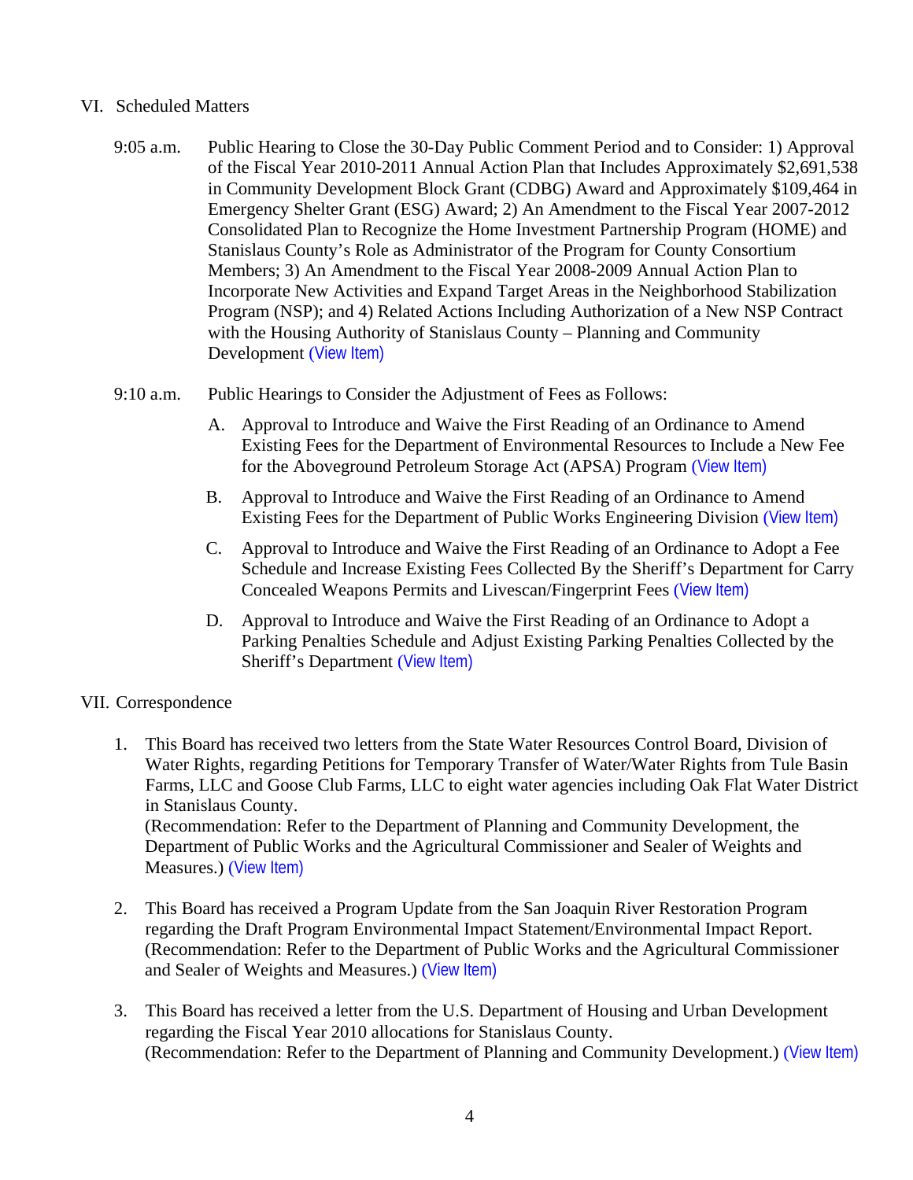## VI. Scheduled Matters

- 9:05 a.m. Public Hearing to Close the 30-Day Public Comment Period and to Consider: 1) Approval of the Fiscal Year 2010-2011 Annual Action Plan that Includes Approximately \$2,691,538 in Community Development Block Grant (CDBG) Award and Approximately \$109,464 in Emergency Shelter Grant (ESG) Award; 2) An Amendment to the Fiscal Year 2007-2012 Consolidated Plan to Recognize the Home Investment Partnership Program (HOME) and Stanislaus County's Role as Administrator of the Program for County Consortium Members; 3) An Amendment to the Fiscal Year 2008-2009 Annual Action Plan to Incorporate New Activities and Expand Target Areas in the Neighborhood Stabilization Program (NSP); and 4) Related Actions Including Authorization of a New NSP Contract with the Housing Authority of Stanislaus County – Planning and Community Development ([View Item\)](http://www.stancounty.com/bos/agenda/2010/20100427/PH905.pdf)
- 9:10 a.m. Public Hearings to Consider the Adjustment of Fees as Follows:
	- A. Approval to Introduce and Waive the First Reading of an Ordinance to Amend Existing Fees for the Department of Environmental Resources to Include a New Fee for the Aboveground Petroleum Storage Act (APSA) Program ([View Item\)](http://www.stancounty.com/bos/agenda/2010/20100427/PH910a.pdf)
	- B. Approval to Introduce and Waive the First Reading of an Ordinance to Amend Existing Fees for the Department of Public Works Engineering Division ([View Item\)](http://www.stancounty.com/bos/agenda/2010/20100427/PH910b.pdf)
	- C. Approval to Introduce and Waive the First Reading of an Ordinance to Adopt a Fee Schedule and Increase Existing Fees Collected By the Sheriff's Department for Carry Concealed Weapons Permits and Livescan/Fingerprint Fees ([View Item\)](http://www.stancounty.com/bos/agenda/2010/20100427/PH910c.pdf)
	- D. Approval to Introduce and Waive the First Reading of an Ordinance to Adopt a Parking Penalties Schedule and Adjust Existing Parking Penalties Collected by the Sheriff's Department ([View Item\)](http://www.stancounty.com/bos/agenda/2010/20100427/PH910d.pdf)

# VII. Correspondence

- 1. This Board has received two letters from the State Water Resources Control Board, Division of Water Rights, regarding Petitions for Temporary Transfer of Water/Water Rights from Tule Basin Farms, LLC and Goose Club Farms, LLC to eight water agencies including Oak Flat Water District in Stanislaus County. (Recommendation: Refer to the Department of Planning and Community Development, the Department of Public Works and the Agricultural Commissioner and Sealer of Weights and Measures.) ([View Item\)](http://www.stancounty.com/bos/agenda/2010/20100427/Corr01.pdf)
- 2. This Board has received a Program Update from the San Joaquin River Restoration Program regarding the Draft Program Environmental Impact Statement/Environmental Impact Report. (Recommendation: Refer to the Department of Public Works and the Agricultural Commissioner and Sealer of Weights and Measures.) ([View Item\)](http://www.stancounty.com/bos/agenda/2010/20100427/Corr02.pdf)
- 3. This Board has received a letter from the U.S. Department of Housing and Urban Development regarding the Fiscal Year 2010 allocations for Stanislaus County. (Recommendation: Refer to the Department of Planning and Community Development.) ([View Item\)](http://www.stancounty.com/bos/agenda/2010/20100427/Corr03.pdf)